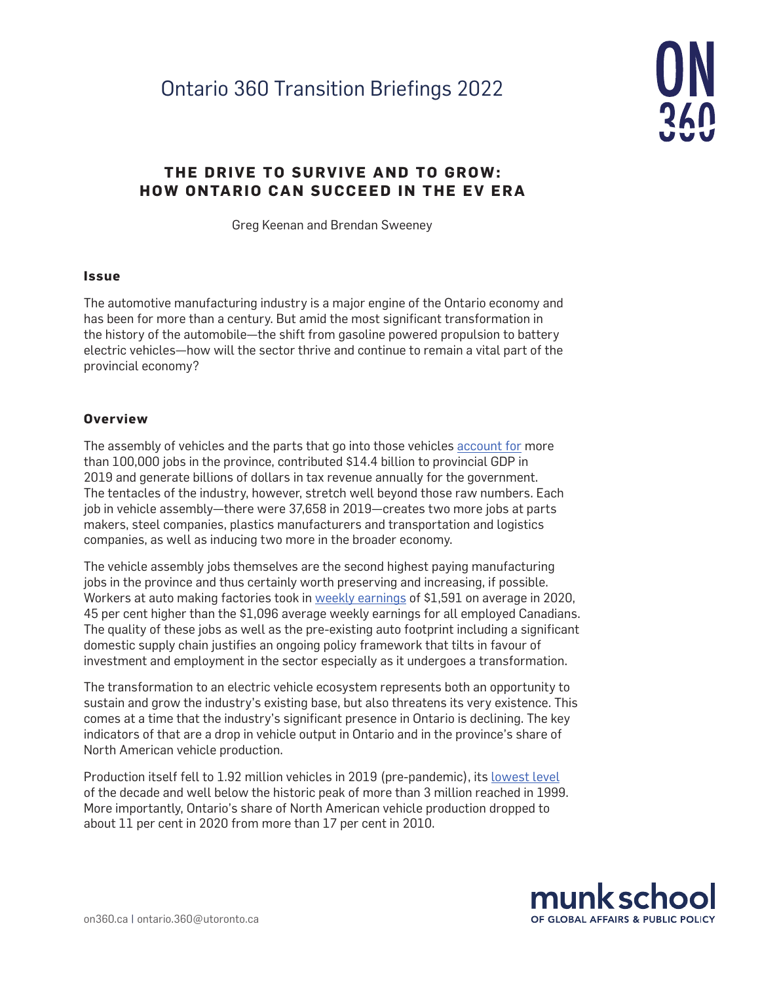# Ontario 360 Transition Briefings 2022



## **THE DRIVE TO SURVIVE AND TO GROW: HOW ONTARIO CAN SUCCEED IN THE EV ERA**

Greg Keenan and Brendan Sweeney

#### **Issue**

The automotive manufacturing industry is a major engine of the Ontario economy and has been for more than a century. But amid the most significant transformation in the history of the automobile—the shift from gasoline powered propulsion to battery electric vehicles—how will the sector thrive and continue to remain a vital part of the provincial economy?

#### **Overview**

The assembly of vehicles and the parts that go into those vehicles [account for](https://www150.statcan.gc.ca/t1/tbl1/en/tv.action?pid=3610059401&pickMembers%5B0%5D=2.7&pickMembers%5B1%5D=4.98&cubeTimeFrame.startYear=2014&cubeTimeFrame.endYear=2018&referencePeriods=20140101%2C20180101) more than 100,000 jobs in the province, contributed \$14.4 billion to provincial GDP in 2019 and generate billions of dollars in tax revenue annually for the government. The tentacles of the industry, however, stretch well beyond those raw numbers. Each job in vehicle assembly—there were 37,658 in 2019—creates two more jobs at parts makers, steel companies, plastics manufacturers and transportation and logistics companies, as well as inducing two more in the broader economy.

The vehicle assembly jobs themselves are the second highest paying manufacturing jobs in the province and thus certainly worth preserving and increasing, if possible. Workers at auto making factories took in [weekly earnings](https://www150.statcan.gc.ca/t1/tbl1/en/tv.action?pid=1410020201) of \$1,591 on average in 2020, 45 per cent higher than the \$1,096 average weekly earnings for all employed Canadians. The quality of these jobs as well as the pre-existing auto footprint including a significant domestic supply chain justifies an ongoing policy framework that tilts in favour of investment and employment in the sector especially as it undergoes a transformation.

The transformation to an electric vehicle ecosystem represents both an opportunity to sustain and grow the industry's existing base, but also threatens its very existence. This comes at a time that the industry's significant presence in Ontario is declining. The key indicators of that are a drop in vehicle output in Ontario and in the province's share of North American vehicle production.

Production itself fell to 1.92 million vehicles in 2019 (pre-pandemic), its [lowest level](https://www.oica.net/category/production-statistics/2020-statistics/) of the decade and well below the historic peak of more than 3 million reached in 1999. More importantly, Ontario's share of North American vehicle production dropped to about 11 per cent in 2020 from more than 17 per cent in 2010.

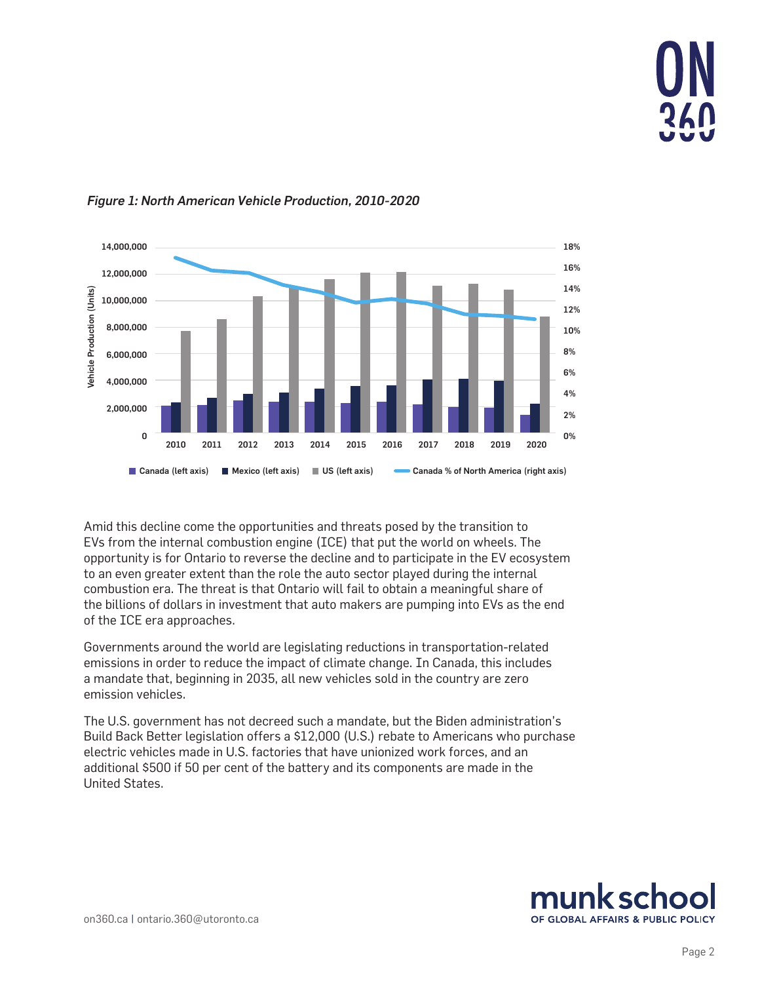



#### *Figure 1: North American Vehicle Production, 2010-2020*

Amid this decline come the opportunities and threats posed by the transition to EVs from the internal combustion engine (ICE) that put the world on wheels. The opportunity is for Ontario to reverse the decline and to participate in the EV ecosystem to an even greater extent than the role the auto sector played during the internal combustion era. The threat is that Ontario will fail to obtain a meaningful share of the billions of dollars in investment that auto makers are pumping into EVs as the end of the ICE era approaches.

Governments around the world are legislating reductions in transportation-related emissions in order to reduce the impact of climate change. In Canada, this includes a mandate that, beginning in 2035, all new vehicles sold in the country are zero emission vehicles.

The U.S. government has not decreed such a mandate, but the Biden administration's Build Back Better legislation offers a \$12,000 (U.S.) rebate to Americans who purchase electric vehicles made in U.S. factories that have unionized work forces, and an additional \$500 if 50 per cent of the battery and its components are made in the United States.

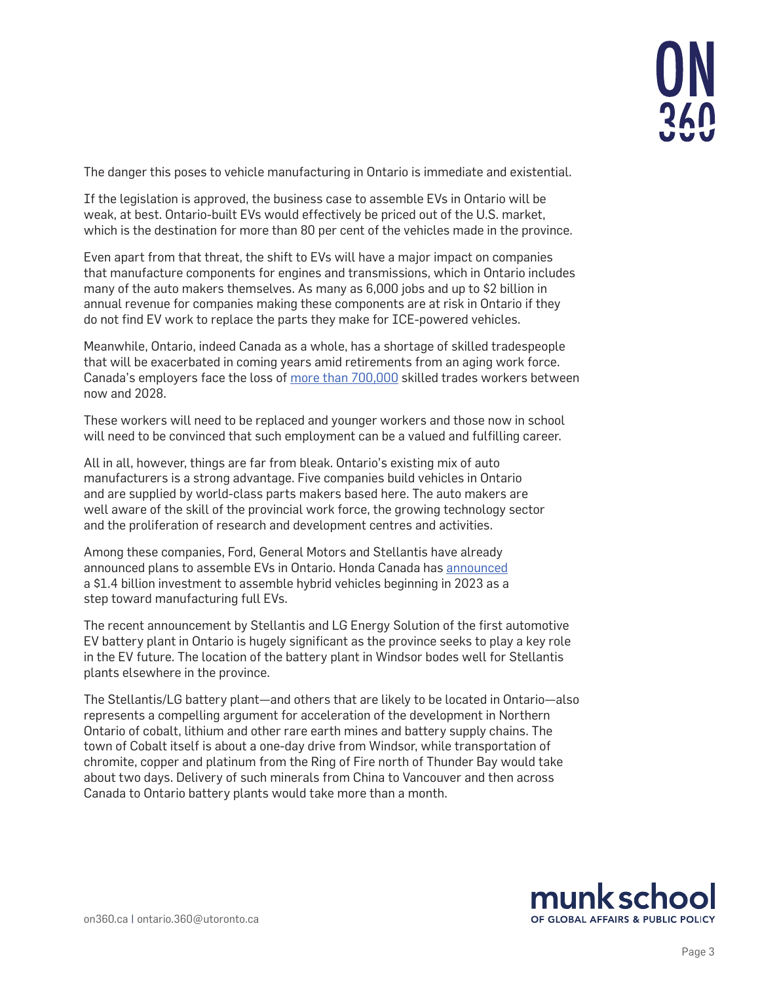

The danger this poses to vehicle manufacturing in Ontario is immediate and existential.

If the legislation is approved, the business case to assemble EVs in Ontario will be weak, at best. Ontario-built EVs would effectively be priced out of the U.S. market, which is the destination for more than 80 per cent of the vehicles made in the province.

Even apart from that threat, the shift to EVs will have a major impact on companies that manufacture components for engines and transmissions, which in Ontario includes many of the auto makers themselves. As many as 6,000 jobs and up to \$2 billion in annual revenue for companies making these components are at risk in Ontario if they do not find EV work to replace the parts they make for ICE-powered vehicles.

Meanwhile, Ontario, indeed Canada as a whole, has a shortage of skilled tradespeople that will be exacerbated in coming years amid retirements from an aging work force. Canada's employers face the loss of [more than 700,000](https://thoughtleadership.rbc.com/powering-up-preparing-canadas-skilled-trades-for-a-post-pandemic-economy/) skilled trades workers between now and 2028.

These workers will need to be replaced and younger workers and those now in school will need to be convinced that such employment can be a valued and fulfilling career.

All in all, however, things are far from bleak. Ontario's existing mix of auto manufacturers is a strong advantage. Five companies build vehicles in Ontario and are supplied by world-class parts makers based here. The auto makers are well aware of the skill of the provincial work force, the growing technology sector and the proliferation of research and development centres and activities.

Among these companies, Ford, General Motors and Stellantis have already announced plans to assemble EVs in Ontario. Honda Canada has [announced](https://hondanews.ca/en-CA/releases/release-b7c602e7f6feb65d30b129b0f62591e2-honda-of-canada-mfg-to-invest-more-than-138-billion-in-ontario-manufacturing-plants-in-preparation-for-electrified-future) a \$1.4 billion investment to assemble hybrid vehicles beginning in 2023 as a step toward manufacturing full EVs.

The recent announcement by Stellantis and LG Energy Solution of the first automotive EV battery plant in Ontario is hugely significant as the province seeks to play a key role in the EV future. The location of the battery plant in Windsor bodes well for Stellantis plants elsewhere in the province.

The Stellantis/LG battery plant—and others that are likely to be located in Ontario—also represents a compelling argument for acceleration of the development in Northern Ontario of cobalt, lithium and other rare earth mines and battery supply chains. The town of Cobalt itself is about a one-day drive from Windsor, while transportation of chromite, copper and platinum from the Ring of Fire north of Thunder Bay would take about two days. Delivery of such minerals from China to Vancouver and then across Canada to Ontario battery plants would take more than a month.

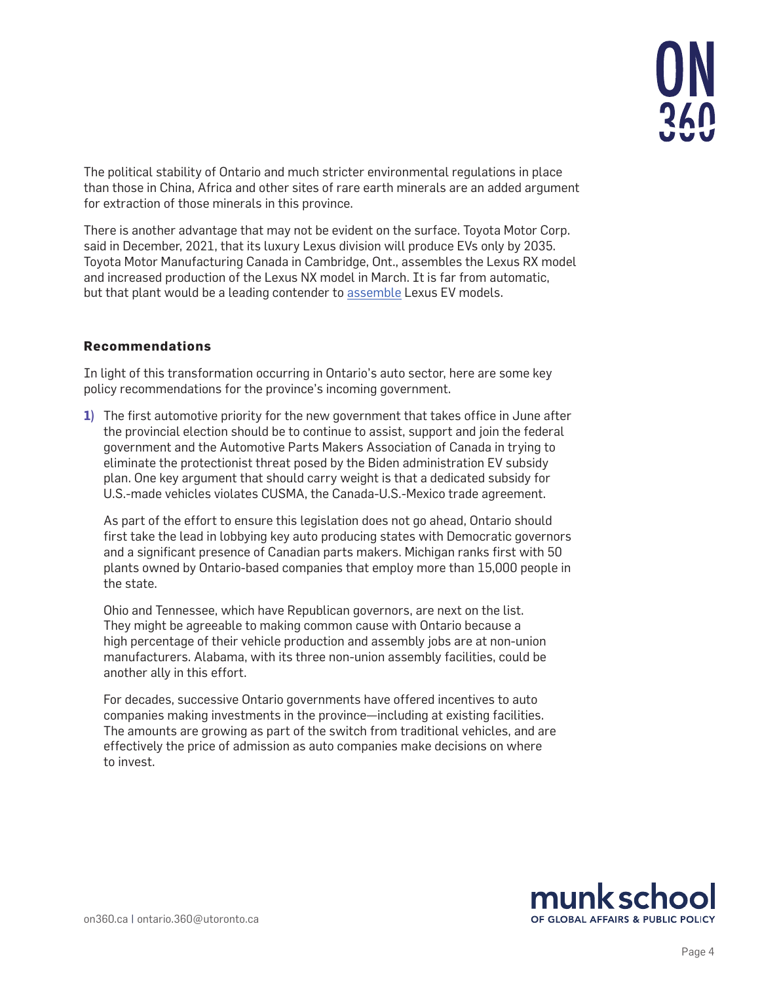The political stability of Ontario and much stricter environmental regulations in place than those in China, Africa and other sites of rare earth minerals are an added argument for extraction of those minerals in this province.

There is another advantage that may not be evident on the surface. Toyota Motor Corp. said in December, 2021, that its luxury Lexus division will produce EVs only by 2035. Toyota Motor Manufacturing Canada in Cambridge, Ont., assembles the Lexus RX model and increased production of the Lexus NX model in March. It is far from automatic, but that plant would be a leading contender to [assemble](https://pressroom.toyota.com/akio-toyoda-shares-toyotas-strategy-for-achieving-carbon-neutrality-through-battery-electric-vehicles/) Lexus EV models.

### **Recommendations**

In light of this transformation occurring in Ontario's auto sector, here are some key policy recommendations for the province's incoming government.

**1)** The first automotive priority for the new government that takes office in June after the provincial election should be to continue to assist, support and join the federal government and the Automotive Parts Makers Association of Canada in trying to eliminate the protectionist threat posed by the Biden administration EV subsidy plan. One key argument that should carry weight is that a dedicated subsidy for U.S.-made vehicles violates CUSMA, the Canada-U.S.-Mexico trade agreement.

As part of the effort to ensure this legislation does not go ahead, Ontario should first take the lead in lobbying key auto producing states with Democratic governors and a significant presence of Canadian parts makers. Michigan ranks first with 50 plants owned by Ontario-based companies that employ more than 15,000 people in the state.

Ohio and Tennessee, which have Republican governors, are next on the list. They might be agreeable to making common cause with Ontario because a high percentage of their vehicle production and assembly jobs are at non-union manufacturers. Alabama, with its three non-union assembly facilities, could be another ally in this effort.

For decades, successive Ontario governments have offered incentives to auto companies making investments in the province—including at existing facilities. The amounts are growing as part of the switch from traditional vehicles, and are effectively the price of admission as auto companies make decisions on where to invest.

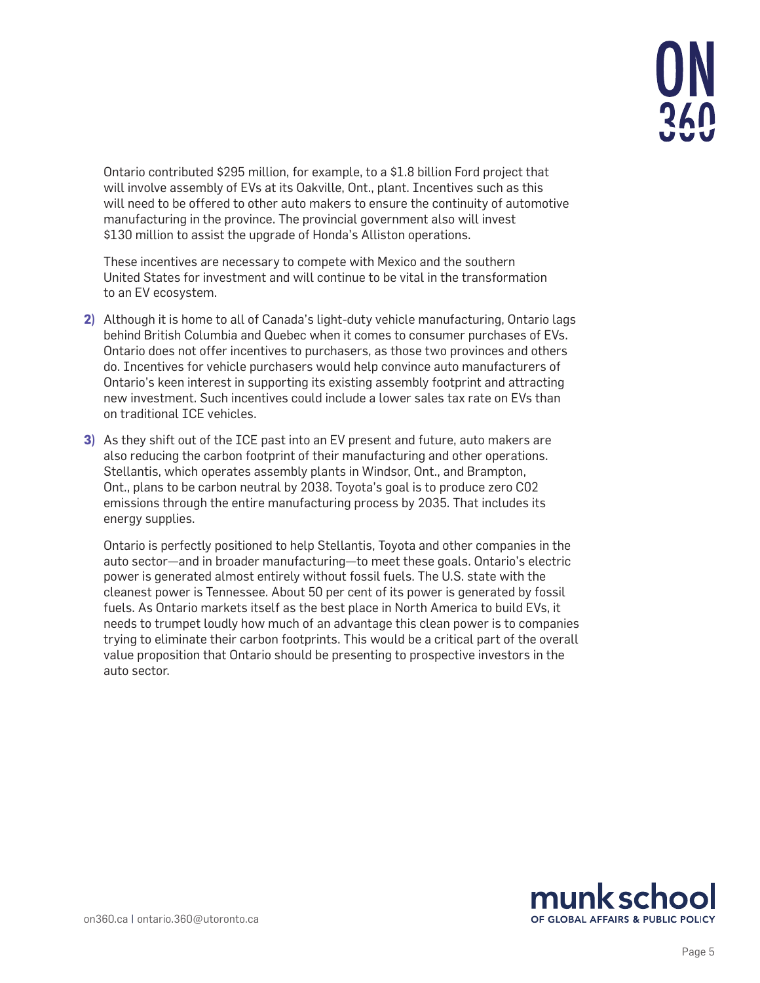

Ontario contributed \$295 million, for example, to a \$1.8 billion Ford project that will involve assembly of EVs at its Oakville, Ont., plant. Incentives such as this will need to be offered to other auto makers to ensure the continuity of automotive manufacturing in the province. The provincial government also will invest \$130 million to assist the upgrade of Honda's Alliston operations.

These incentives are necessary to compete with Mexico and the southern United States for investment and will continue to be vital in the transformation to an EV ecosystem.

- **2)** Although it is home to all of Canada's light-duty vehicle manufacturing, Ontario lags behind British Columbia and Quebec when it comes to consumer purchases of EVs. Ontario does not offer incentives to purchasers, as those two provinces and others do. Incentives for vehicle purchasers would help convince auto manufacturers of Ontario's keen interest in supporting its existing assembly footprint and attracting new investment. Such incentives could include a lower sales tax rate on EVs than on traditional ICE vehicles.
- **3)** As they shift out of the ICE past into an EV present and future, auto makers are also reducing the carbon footprint of their manufacturing and other operations. Stellantis, which operates assembly plants in Windsor, Ont., and Brampton, Ont., plans to be carbon neutral by 2038. Toyota's goal is to produce zero C02 emissions through the entire manufacturing process by 2035. That includes its energy supplies.

Ontario is perfectly positioned to help Stellantis, Toyota and other companies in the auto sector—and in broader manufacturing—to meet these goals. Ontario's electric power is generated almost entirely without fossil fuels. The U.S. state with the cleanest power is Tennessee. About 50 per cent of its power is generated by fossil fuels. As Ontario markets itself as the best place in North America to build EVs, it needs to trumpet loudly how much of an advantage this clean power is to companies trying to eliminate their carbon footprints. This would be a critical part of the overall value proposition that Ontario should be presenting to prospective investors in the auto sector.

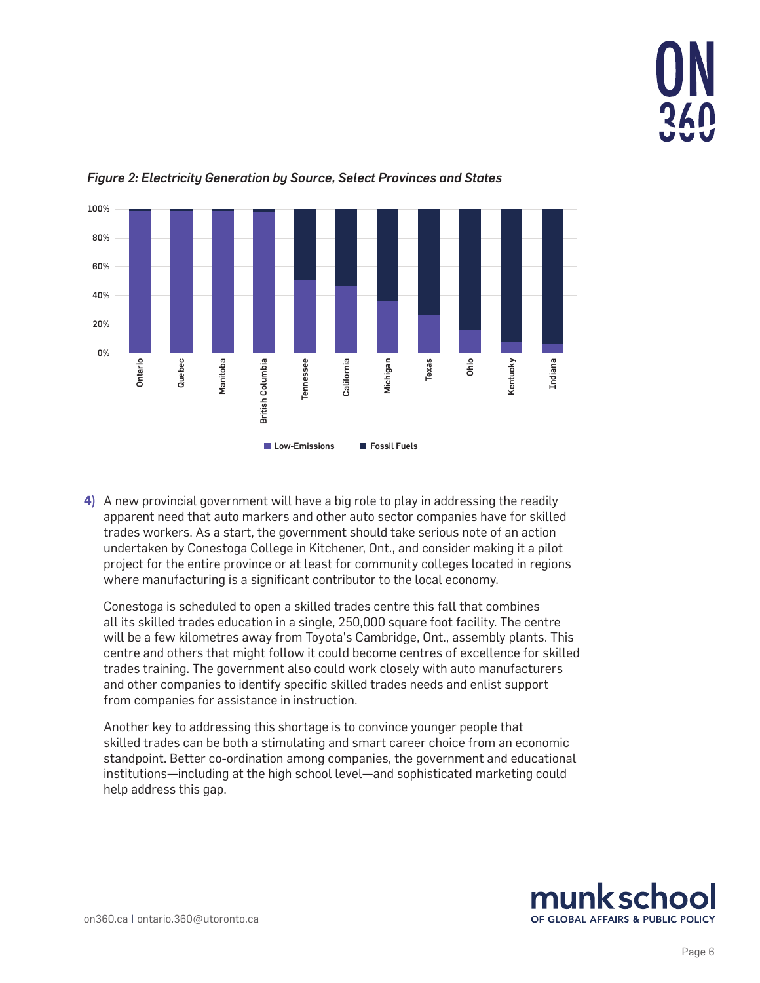



*Figure 2: Electricity Generation by Source, Select Provinces and States*

**4)** A new provincial government will have a big role to play in addressing the readily apparent need that auto markers and other auto sector companies have for skilled trades workers. As a start, the government should take serious note of an action undertaken by Conestoga College in Kitchener, Ont., and consider making it a pilot project for the entire province or at least for community colleges located in regions where manufacturing is a significant contributor to the local economy.

Conestoga is scheduled to open a skilled trades centre this fall that combines all its skilled trades education in a single, 250,000 square foot facility. The centre will be a few kilometres away from Toyota's Cambridge, Ont., assembly plants. This centre and others that might follow it could become centres of excellence for skilled trades training. The government also could work closely with auto manufacturers and other companies to identify specific skilled trades needs and enlist support from companies for assistance in instruction.

Another key to addressing this shortage is to convince younger people that skilled trades can be both a stimulating and smart career choice from an economic standpoint. Better co-ordination among companies, the government and educational institutions—including at the high school level—and sophisticated marketing could help address this gap.